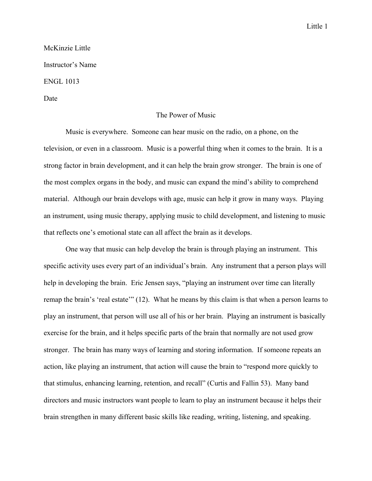## Little 1

## McKinzie Little Instructor's Name ENGL 1013

Date

## The Power of Music

Music is everywhere. Someone can hear music on the radio, on a phone, on the television, or even in a classroom. Music is a powerful thing when it comes to the brain. It is a strong factor in brain development, and it can help the brain grow stronger. The brain is one of the most complex organs in the body, and music can expand the mind's ability to comprehend material. Although our brain develops with age, music can help it grow in many ways. Playing an instrument, using music therapy, applying music to child development, and listening to music that reflects one's emotional state can all affect the brain as it develops.

One way that music can help develop the brain is through playing an instrument. This specific activity uses every part of an individual's brain. Any instrument that a person plays will help in developing the brain. Eric Jensen says, "playing an instrument over time can literally remap the brain's 'real estate'" (12). What he means by this claim is that when a person learns to play an instrument, that person will use all of his or her brain. Playing an instrument is basically exercise for the brain, and it helps specific parts of the brain that normally are not used grow stronger. The brain has many ways of learning and storing information. If someone repeats an action, like playing an instrument, that action will cause the brain to "respond more quickly to that stimulus, enhancing learning, retention, and recall" (Curtis and Fallin 53). Many band directors and music instructors want people to learn to play an instrument because it helps their brain strengthen in many different basic skills like reading, writing, listening, and speaking.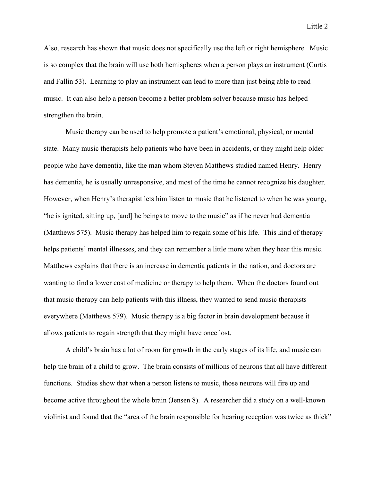Also, research has shown that music does not specifically use the left or right hemisphere. Music is so complex that the brain will use both hemispheres when a person plays an instrument (Curtis and Fallin 53). Learning to play an instrument can lead to more than just being able to read music. It can also help a person become a better problem solver because music has helped strengthen the brain.

Music therapy can be used to help promote a patient's emotional, physical, or mental state. Many music therapists help patients who have been in accidents, or they might help older people who have dementia, like the man whom Steven Matthews studied named Henry. Henry has dementia, he is usually unresponsive, and most of the time he cannot recognize his daughter. However, when Henry's therapist lets him listen to music that he listened to when he was young, "he is ignited, sitting up, [and] he beings to move to the music" as if he never had dementia (Matthews 575). Music therapy has helped him to regain some of his life. This kind of therapy helps patients' mental illnesses, and they can remember a little more when they hear this music. Matthews explains that there is an increase in dementia patients in the nation, and doctors are wanting to find a lower cost of medicine or therapy to help them. When the doctors found out that music therapy can help patients with this illness, they wanted to send music therapists everywhere (Matthews 579). Music therapy is a big factor in brain development because it allows patients to regain strength that they might have once lost.

A child's brain has a lot of room for growth in the early stages of its life, and music can help the brain of a child to grow. The brain consists of millions of neurons that all have different functions. Studies show that when a person listens to music, those neurons will fire up and become active throughout the whole brain (Jensen 8). A researcher did a study on a well-known violinist and found that the "area of the brain responsible for hearing reception was twice as thick"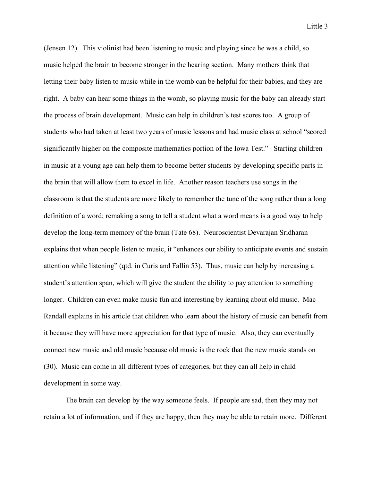(Jensen 12). This violinist had been listening to music and playing since he was a child, so music helped the brain to become stronger in the hearing section. Many mothers think that letting their baby listen to music while in the womb can be helpful for their babies, and they are right. A baby can hear some things in the womb, so playing music for the baby can already start the process of brain development. Music can help in children's test scores too. A group of students who had taken at least two years of music lessons and had music class at school "scored significantly higher on the composite mathematics portion of the Iowa Test." Starting children in music at a young age can help them to become better students by developing specific parts in the brain that will allow them to excel in life. Another reason teachers use songs in the classroom is that the students are more likely to remember the tune of the song rather than a long definition of a word; remaking a song to tell a student what a word means is a good way to help develop the long-term memory of the brain (Tate 68). Neuroscientist Devarajan Sridharan explains that when people listen to music, it "enhances our ability to anticipate events and sustain attention while listening" (qtd. in Curis and Fallin 53). Thus, music can help by increasing a student's attention span, which will give the student the ability to pay attention to something longer. Children can even make music fun and interesting by learning about old music. Mac Randall explains in his article that children who learn about the history of music can benefit from it because they will have more appreciation for that type of music. Also, they can eventually connect new music and old music because old music is the rock that the new music stands on (30). Music can come in all different types of categories, but they can all help in child development in some way.

The brain can develop by the way someone feels. If people are sad, then they may not retain a lot of information, and if they are happy, then they may be able to retain more. Different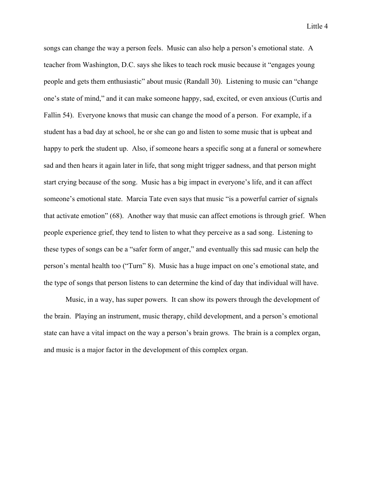songs can change the way a person feels. Music can also help a person's emotional state. A teacher from Washington, D.C. says she likes to teach rock music because it "engages young people and gets them enthusiastic" about music (Randall 30). Listening to music can "change one's state of mind," and it can make someone happy, sad, excited, or even anxious (Curtis and Fallin 54). Everyone knows that music can change the mood of a person. For example, if a student has a bad day at school, he or she can go and listen to some music that is upbeat and happy to perk the student up. Also, if someone hears a specific song at a funeral or somewhere sad and then hears it again later in life, that song might trigger sadness, and that person might start crying because of the song. Music has a big impact in everyone's life, and it can affect someone's emotional state. Marcia Tate even says that music "is a powerful carrier of signals that activate emotion" (68). Another way that music can affect emotions is through grief. When people experience grief, they tend to listen to what they perceive as a sad song. Listening to these types of songs can be a "safer form of anger," and eventually this sad music can help the person's mental health too ("Turn" 8). Music has a huge impact on one's emotional state, and the type of songs that person listens to can determine the kind of day that individual will have.

Music, in a way, has super powers. It can show its powers through the development of the brain. Playing an instrument, music therapy, child development, and a person's emotional state can have a vital impact on the way a person's brain grows. The brain is a complex organ, and music is a major factor in the development of this complex organ.